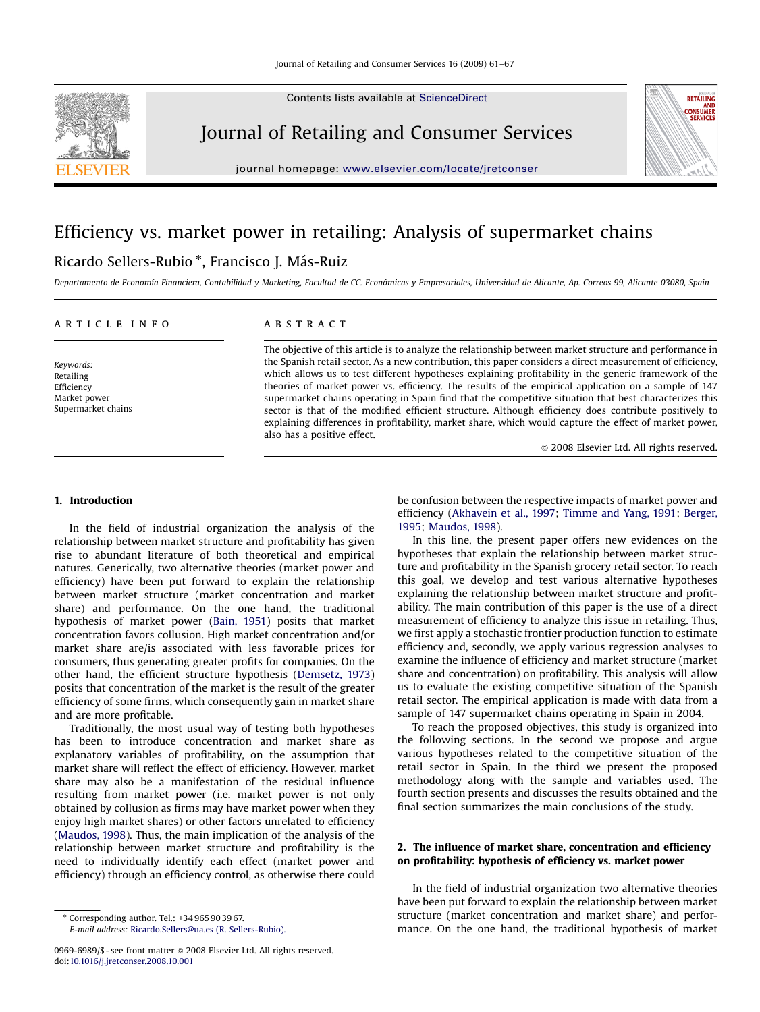Contents lists available at [ScienceDirect](www.sciencedirect.com/science/journal/jjrc)



Journal of Retailing and Consumer Services



# Efficiency vs. market power in retailing: Analysis of supermarket chains

## Ricardo Sellers-Rubio <sup>\*</sup>, Francisco J. Más-Ruiz

Departamento de Economía Financiera, Contabilidad y Marketing, Facultad de CC. Económicas y Empresariales, Universidad de Alicante, Ap. Correos 99, Alicante 03080, Spain

### article info

Keywords: Retailing Efficiency Market power Supermarket chains ABSTRACT

The objective of this article is to analyze the relationship between market structure and performance in the Spanish retail sector. As a new contribution, this paper considers a direct measurement of efficiency, which allows us to test different hypotheses explaining profitability in the generic framework of the theories of market power vs. efficiency. The results of the empirical application on a sample of 147 supermarket chains operating in Spain find that the competitive situation that best characterizes this sector is that of the modified efficient structure. Although efficiency does contribute positively to explaining differences in profitability, market share, which would capture the effect of market power, also has a positive effect.

 $\odot$  2008 Elsevier Ltd. All rights reserved.

#### 1. Introduction

In the field of industrial organization the analysis of the relationship between market structure and profitability has given rise to abundant literature of both theoretical and empirical natures. Generically, two alternative theories (market power and efficiency) have been put forward to explain the relationship between market structure (market concentration and market share) and performance. On the one hand, the traditional hypothesis of market power [\(Bain, 1951\)](#page--1-0) posits that market concentration favors collusion. High market concentration and/or market share are/is associated with less favorable prices for consumers, thus generating greater profits for companies. On the other hand, the efficient structure hypothesis [\(Demsetz, 1973\)](#page--1-0) posits that concentration of the market is the result of the greater efficiency of some firms, which consequently gain in market share and are more profitable.

Traditionally, the most usual way of testing both hypotheses has been to introduce concentration and market share as explanatory variables of profitability, on the assumption that market share will reflect the effect of efficiency. However, market share may also be a manifestation of the residual influence resulting from market power (i.e. market power is not only obtained by collusion as firms may have market power when they enjoy high market shares) or other factors unrelated to efficiency ([Maudos, 1998\)](#page--1-0). Thus, the main implication of the analysis of the relationship between market structure and profitability is the need to individually identify each effect (market power and efficiency) through an efficiency control, as otherwise there could be confusion between the respective impacts of market power and efficiency [\(Akhavein et al., 1997](#page--1-0); [Timme and Yang, 1991](#page--1-0); [Berger,](#page--1-0) [1995](#page--1-0); [Maudos, 1998](#page--1-0)).

In this line, the present paper offers new evidences on the hypotheses that explain the relationship between market structure and profitability in the Spanish grocery retail sector. To reach this goal, we develop and test various alternative hypotheses explaining the relationship between market structure and profitability. The main contribution of this paper is the use of a direct measurement of efficiency to analyze this issue in retailing. Thus, we first apply a stochastic frontier production function to estimate efficiency and, secondly, we apply various regression analyses to examine the influence of efficiency and market structure (market share and concentration) on profitability. This analysis will allow us to evaluate the existing competitive situation of the Spanish retail sector. The empirical application is made with data from a sample of 147 supermarket chains operating in Spain in 2004.

To reach the proposed objectives, this study is organized into the following sections. In the second we propose and argue various hypotheses related to the competitive situation of the retail sector in Spain. In the third we present the proposed methodology along with the sample and variables used. The fourth section presents and discusses the results obtained and the final section summarizes the main conclusions of the study.

## 2. The influence of market share, concentration and efficiency on profitability: hypothesis of efficiency vs. market power

In the field of industrial organization two alternative theories have been put forward to explain the relationship between market structure (market concentration and market share) and performance. On the one hand, the traditional hypothesis of market



<sup>-</sup> Corresponding author. Tel.: +34 965 90 39 67.

E-mail address: [Ricardo.Sellers@ua.e](mailto:Ricardo.Sellers@ua.e<ce:italic>s</ce:italic>.3d)s (R. Sellers-Rubio).

<sup>0969-6989/\$ -</sup> see front matter  $\circ$  2008 Elsevier Ltd. All rights reserved. doi:[10.1016/j.jretconser.2008.10.001](dx.doi.org/10.1016/j.jretconser.2008.10.001)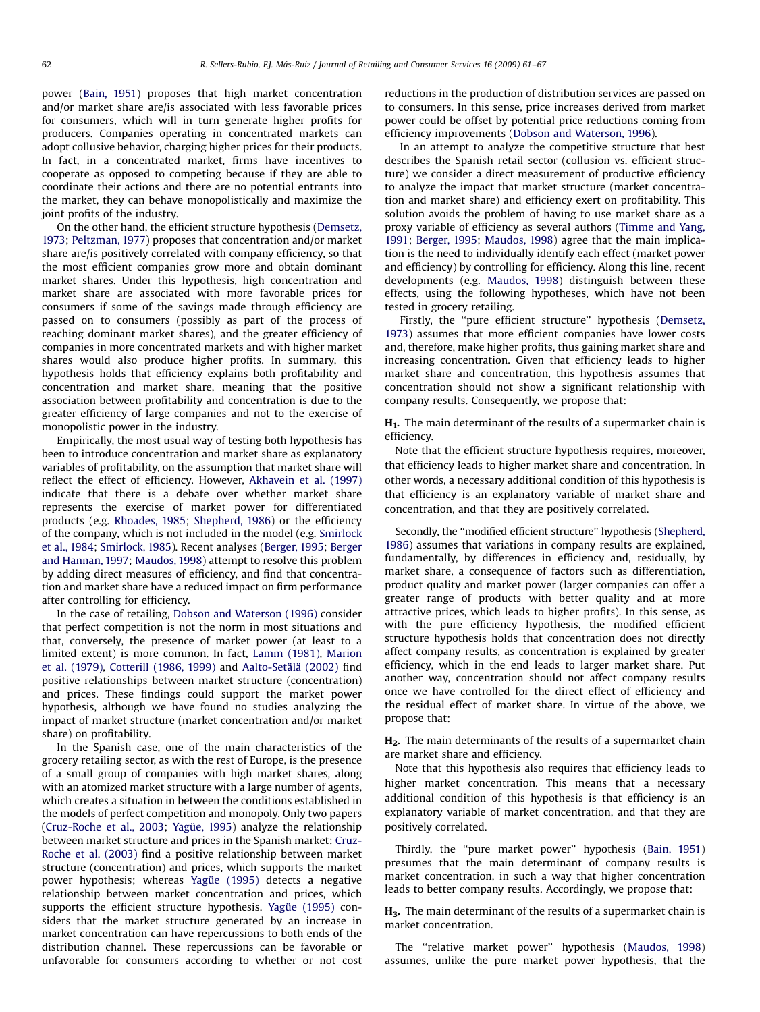power [\(Bain, 1951](#page--1-0)) proposes that high market concentration and/or market share are/is associated with less favorable prices for consumers, which will in turn generate higher profits for producers. Companies operating in concentrated markets can adopt collusive behavior, charging higher prices for their products. In fact, in a concentrated market, firms have incentives to cooperate as opposed to competing because if they are able to coordinate their actions and there are no potential entrants into the market, they can behave monopolistically and maximize the joint profits of the industry.

On the other hand, the efficient structure hypothesis ([Demsetz,](#page--1-0) [1973](#page--1-0); [Peltzman, 1977](#page--1-0)) proposes that concentration and/or market share are/is positively correlated with company efficiency, so that the most efficient companies grow more and obtain dominant market shares. Under this hypothesis, high concentration and market share are associated with more favorable prices for consumers if some of the savings made through efficiency are passed on to consumers (possibly as part of the process of reaching dominant market shares), and the greater efficiency of companies in more concentrated markets and with higher market shares would also produce higher profits. In summary, this hypothesis holds that efficiency explains both profitability and concentration and market share, meaning that the positive association between profitability and concentration is due to the greater efficiency of large companies and not to the exercise of monopolistic power in the industry.

Empirically, the most usual way of testing both hypothesis has been to introduce concentration and market share as explanatory variables of profitability, on the assumption that market share will reflect the effect of efficiency. However, [Akhavein et al. \(1997\)](#page--1-0) indicate that there is a debate over whether market share represents the exercise of market power for differentiated products (e.g. [Rhoades, 1985;](#page--1-0) [Shepherd, 1986](#page--1-0)) or the efficiency of the company, which is not included in the model (e.g. [Smirlock](#page--1-0) [et al., 1984;](#page--1-0) [Smirlock, 1985](#page--1-0)). Recent analyses [\(Berger, 1995;](#page--1-0) [Berger](#page--1-0) [and Hannan, 1997;](#page--1-0) [Maudos, 1998\)](#page--1-0) attempt to resolve this problem by adding direct measures of efficiency, and find that concentration and market share have a reduced impact on firm performance after controlling for efficiency.

In the case of retailing, [Dobson and Waterson \(1996\)](#page--1-0) consider that perfect competition is not the norm in most situations and that, conversely, the presence of market power (at least to a limited extent) is more common. In fact, [Lamm \(1981\),](#page--1-0) [Marion](#page--1-0) [et al. \(1979\),](#page--1-0) [Cotterill \(1986, 1999\)](#page--1-0) and Aalto-Setälä (2002) find positive relationships between market structure (concentration) and prices. These findings could support the market power hypothesis, although we have found no studies analyzing the impact of market structure (market concentration and/or market share) on profitability.

In the Spanish case, one of the main characteristics of the grocery retailing sector, as with the rest of Europe, is the presence of a small group of companies with high market shares, along with an atomized market structure with a large number of agents, which creates a situation in between the conditions established in the models of perfect competition and monopoly. Only two papers ([Cruz-Roche et al., 2003;](#page--1-0) Yagü[e, 1995\)](#page--1-0) analyze the relationship between market structure and prices in the Spanish market: [Cruz-](#page--1-0)[Roche et al. \(2003\)](#page--1-0) find a positive relationship between market structure (concentration) and prices, which supports the market power hypothesis; whereas Yagü[e \(1995\)](#page--1-0) detects a negative relationship between market concentration and prices, which supports the efficient structure hypothesis. Yagü[e \(1995\)](#page--1-0) considers that the market structure generated by an increase in market concentration can have repercussions to both ends of the distribution channel. These repercussions can be favorable or unfavorable for consumers according to whether or not cost reductions in the production of distribution services are passed on to consumers. In this sense, price increases derived from market power could be offset by potential price reductions coming from efficiency improvements [\(Dobson and Waterson, 1996](#page--1-0)).

In an attempt to analyze the competitive structure that best describes the Spanish retail sector (collusion vs. efficient structure) we consider a direct measurement of productive efficiency to analyze the impact that market structure (market concentration and market share) and efficiency exert on profitability. This solution avoids the problem of having to use market share as a proxy variable of efficiency as several authors ([Timme and Yang,](#page--1-0) [1991](#page--1-0); [Berger, 1995](#page--1-0); [Maudos, 1998\)](#page--1-0) agree that the main implication is the need to individually identify each effect (market power and efficiency) by controlling for efficiency. Along this line, recent developments (e.g. [Maudos, 1998\)](#page--1-0) distinguish between these effects, using the following hypotheses, which have not been tested in grocery retailing.

Firstly, the ''pure efficient structure'' hypothesis ([Demsetz,](#page--1-0) [1973](#page--1-0)) assumes that more efficient companies have lower costs and, therefore, make higher profits, thus gaining market share and increasing concentration. Given that efficiency leads to higher market share and concentration, this hypothesis assumes that concentration should not show a significant relationship with company results. Consequently, we propose that:

H<sub>1</sub>. The main determinant of the results of a supermarket chain is efficiency.

Note that the efficient structure hypothesis requires, moreover, that efficiency leads to higher market share and concentration. In other words, a necessary additional condition of this hypothesis is that efficiency is an explanatory variable of market share and concentration, and that they are positively correlated.

Secondly, the ''modified efficient structure'' hypothesis [\(Shepherd,](#page--1-0) [1986](#page--1-0)) assumes that variations in company results are explained, fundamentally, by differences in efficiency and, residually, by market share, a consequence of factors such as differentiation, product quality and market power (larger companies can offer a greater range of products with better quality and at more attractive prices, which leads to higher profits). In this sense, as with the pure efficiency hypothesis, the modified efficient structure hypothesis holds that concentration does not directly affect company results, as concentration is explained by greater efficiency, which in the end leads to larger market share. Put another way, concentration should not affect company results once we have controlled for the direct effect of efficiency and the residual effect of market share. In virtue of the above, we propose that:

H<sub>2</sub>. The main determinants of the results of a supermarket chain are market share and efficiency.

Note that this hypothesis also requires that efficiency leads to higher market concentration. This means that a necessary additional condition of this hypothesis is that efficiency is an explanatory variable of market concentration, and that they are positively correlated.

Thirdly, the ''pure market power'' hypothesis [\(Bain, 1951\)](#page--1-0) presumes that the main determinant of company results is market concentration, in such a way that higher concentration leads to better company results. Accordingly, we propose that:

H<sub>3</sub>. The main determinant of the results of a supermarket chain is market concentration.

The ''relative market power'' hypothesis [\(Maudos, 1998\)](#page--1-0) assumes, unlike the pure market power hypothesis, that the